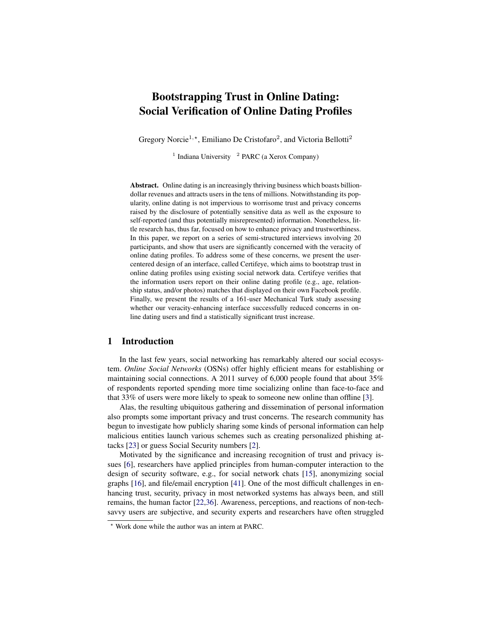# Bootstrapping Trust in Online Dating: Social Verification of Online Dating Profiles

Gregory Norcie<sup>1,\*</sup>, Emiliano De Cristofaro<sup>2</sup>, and Victoria Bellotti<sup>2</sup>

 $<sup>1</sup>$  Indiana University  $<sup>2</sup>$  PARC (a Xerox Company)</sup></sup>

Abstract. Online dating is an increasingly thriving business which boasts billiondollar revenues and attracts users in the tens of millions. Notwithstanding its popularity, online dating is not impervious to worrisome trust and privacy concerns raised by the disclosure of potentially sensitive data as well as the exposure to self-reported (and thus potentially misrepresented) information. Nonetheless, little research has, thus far, focused on how to enhance privacy and trustworthiness. In this paper, we report on a series of semi-structured interviews involving 20 participants, and show that users are significantly concerned with the veracity of online dating profiles. To address some of these concerns, we present the usercentered design of an interface, called Certifeye, which aims to bootstrap trust in online dating profiles using existing social network data. Certifeye verifies that the information users report on their online dating profile (e.g., age, relationship status, and/or photos) matches that displayed on their own Facebook profile. Finally, we present the results of a 161-user Mechanical Turk study assessing whether our veracity-enhancing interface successfully reduced concerns in online dating users and find a statistically significant trust increase.

# 1 Introduction

In the last few years, social networking has remarkably altered our social ecosystem. *Online Social Networks* (OSNs) offer highly efficient means for establishing or maintaining social connections. A 2011 survey of 6,000 people found that about 35% of respondents reported spending more time socializing online than face-to-face and that 33% of users were more likely to speak to someone new online than offline [\[3\]](#page-13-0).

Alas, the resulting ubiquitous gathering and dissemination of personal information also prompts some important privacy and trust concerns. The research community has begun to investigate how publicly sharing some kinds of personal information can help malicious entities launch various schemes such as creating personalized phishing attacks [\[23\]](#page-14-0) or guess Social Security numbers [\[2\]](#page-13-1).

Motivated by the significance and increasing recognition of trust and privacy issues [\[6\]](#page-13-2), researchers have applied principles from human-computer interaction to the design of security software, e.g., for social network chats [\[15\]](#page-13-3), anonymizing social graphs [\[16\]](#page-13-4), and file/email encryption [\[41\]](#page-14-1). One of the most difficult challenges in enhancing trust, security, privacy in most networked systems has always been, and still remains, the human factor [\[22](#page-14-2)[,36\]](#page-14-3). Awareness, perceptions, and reactions of non-techsavvy users are subjective, and security experts and researchers have often struggled

<sup>?</sup> Work done while the author was an intern at PARC.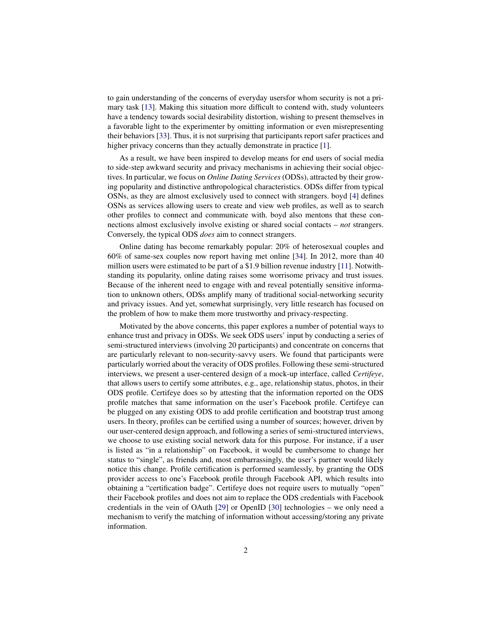to gain understanding of the concerns of everyday usersfor whom security is not a primary task [\[13\]](#page-13-5). Making this situation more difficult to contend with, study volunteers have a tendency towards social desirability distortion, wishing to present themselves in a favorable light to the experimenter by omitting information or even misrepresenting their behaviors [\[33\]](#page-14-4). Thus, it is not surprising that participants report safer practices and higher privacy concerns than they actually demonstrate in practice [\[1\]](#page-13-6).

As a result, we have been inspired to develop means for end users of social media to side-step awkward security and privacy mechanisms in achieving their social objectives. In particular, we focus on *Online Dating Services* (ODSs), attracted by their growing popularity and distinctive anthropological characteristics. ODSs differ from typical OSNs, as they are almost exclusively used to connect with strangers. boyd [\[4\]](#page-13-7) defines OSNs as services allowing users to create and view web profiles, as well as to search other profiles to connect and communicate with. boyd also mentons that these connections almost exclusively involve existing or shared social contacts – *not* strangers. Conversely, the typical ODS *does* aim to connect strangers.

Online dating has become remarkably popular: 20% of heterosexual couples and 60% of same-sex couples now report having met online [\[34\]](#page-14-5). In 2012, more than 40 million users were estimated to be part of a \$1.9 billion revenue industry [\[11\]](#page-13-8). Notwithstanding its popularity, online dating raises some worrisome privacy and trust issues. Because of the inherent need to engage with and reveal potentially sensitive information to unknown others, ODSs amplify many of traditional social-networking security and privacy issues. And yet, somewhat surprisingly, very little research has focused on the problem of how to make them more trustworthy and privacy-respecting.

Motivated by the above concerns, this paper explores a number of potential ways to enhance trust and privacy in ODSs. We seek ODS users' input by conducting a series of semi-structured interviews (involving 20 participants) and concentrate on concerns that are particularly relevant to non-security-savvy users. We found that participants were particularly worried about the veracity of ODS profiles. Following these semi-structured interviews, we present a user-centered design of a mock-up interface, called *Certifeye*, that allows users to certify some attributes, e.g., age, relationship status, photos, in their ODS profile. Certifeye does so by attesting that the information reported on the ODS profile matches that same information on the user's Facebook profile. Certifeye can be plugged on any existing ODS to add profile certification and bootstrap trust among users. In theory, profiles can be certified using a number of sources; however, driven by our user-centered design approach, and following a series of semi-structured interviews, we choose to use existing social network data for this purpose. For instance, if a user is listed as "in a relationship" on Facebook, it would be cumbersome to change her status to "single", as friends and, most embarrassingly, the user's partner would likely notice this change. Profile certification is performed seamlessly, by granting the ODS provider access to one's Facebook profile through Facebook API, which results into obtaining a "certification badge". Certifeye does not require users to mutually "open" their Facebook profiles and does not aim to replace the ODS credentials with Facebook credentials in the vein of OAuth [\[29\]](#page-14-6) or OpenID [\[30\]](#page-14-7) technologies – we only need a mechanism to verify the matching of information without accessing/storing any private information.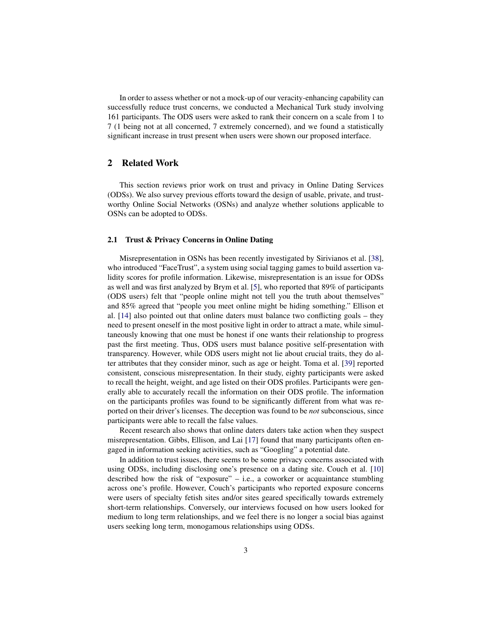In order to assess whether or not a mock-up of our veracity-enhancing capability can successfully reduce trust concerns, we conducted a Mechanical Turk study involving 161 participants. The ODS users were asked to rank their concern on a scale from 1 to 7 (1 being not at all concerned, 7 extremely concerned), and we found a statistically significant increase in trust present when users were shown our proposed interface.

# 2 Related Work

This section reviews prior work on trust and privacy in Online Dating Services (ODSs). We also survey previous efforts toward the design of usable, private, and trustworthy Online Social Networks (OSNs) and analyze whether solutions applicable to OSNs can be adopted to ODSs.

#### 2.1 Trust & Privacy Concerns in Online Dating

Misrepresentation in OSNs has been recently investigated by Sirivianos et al. [\[38\]](#page-14-8), who introduced "FaceTrust", a system using social tagging games to build assertion validity scores for profile information. Likewise, misrepresentation is an issue for ODSs as well and was first analyzed by Brym et al. [\[5\]](#page-13-9), who reported that 89% of participants (ODS users) felt that "people online might not tell you the truth about themselves" and 85% agreed that "people you meet online might be hiding something." Ellison et al. [\[14\]](#page-13-10) also pointed out that online daters must balance two conflicting goals – they need to present oneself in the most positive light in order to attract a mate, while simultaneously knowing that one must be honest if one wants their relationship to progress past the first meeting. Thus, ODS users must balance positive self-presentation with transparency. However, while ODS users might not lie about crucial traits, they do alter attributes that they consider minor, such as age or height. Toma et al. [\[39\]](#page-14-9) reported consistent, conscious misrepresentation. In their study, eighty participants were asked to recall the height, weight, and age listed on their ODS profiles. Participants were generally able to accurately recall the information on their ODS profile. The information on the participants profiles was found to be significantly different from what was reported on their driver's licenses. The deception was found to be *not* subconscious, since participants were able to recall the false values.

Recent research also shows that online daters daters take action when they suspect misrepresentation. Gibbs, Ellison, and Lai [\[17\]](#page-13-11) found that many participants often engaged in information seeking activities, such as "Googling" a potential date.

In addition to trust issues, there seems to be some privacy concerns associated with using ODSs, including disclosing one's presence on a dating site. Couch et al. [\[10\]](#page-13-12) described how the risk of "exposure" – i.e., a coworker or acquaintance stumbling across one's profile. However, Couch's participants who reported exposure concerns were users of specialty fetish sites and/or sites geared specifically towards extremely short-term relationships. Conversely, our interviews focused on how users looked for medium to long term relationships, and we feel there is no longer a social bias against users seeking long term, monogamous relationships using ODSs.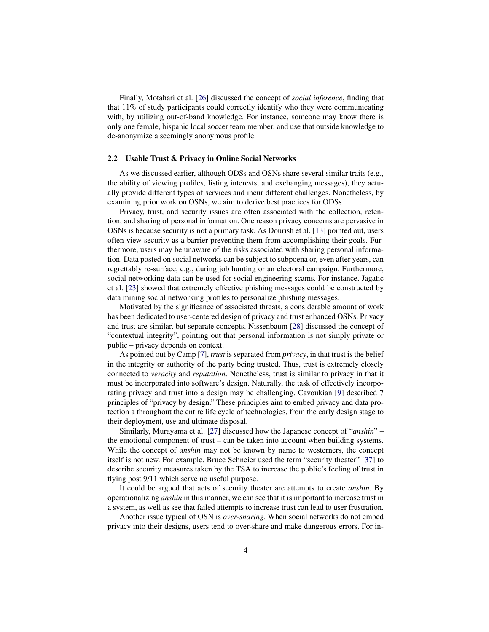Finally, Motahari et al. [\[26\]](#page-14-10) discussed the concept of *social inference*, finding that that 11% of study participants could correctly identify who they were communicating with, by utilizing out-of-band knowledge. For instance, someone may know there is only one female, hispanic local soccer team member, and use that outside knowledge to de-anonymize a seemingly anonymous profile.

#### 2.2 Usable Trust & Privacy in Online Social Networks

As we discussed earlier, although ODSs and OSNs share several similar traits (e.g., the ability of viewing profiles, listing interests, and exchanging messages), they actually provide different types of services and incur different challenges. Nonetheless, by examining prior work on OSNs, we aim to derive best practices for ODSs.

Privacy, trust, and security issues are often associated with the collection, retention, and sharing of personal information. One reason privacy concerns are pervasive in OSNs is because security is not a primary task. As Dourish et al. [\[13\]](#page-13-5) pointed out, users often view security as a barrier preventing them from accomplishing their goals. Furthermore, users may be unaware of the risks associated with sharing personal information. Data posted on social networks can be subject to subpoena or, even after years, can regrettably re-surface, e.g., during job hunting or an electoral campaign. Furthermore, social networking data can be used for social engineering scams. For instance, Jagatic et al. [\[23\]](#page-14-0) showed that extremely effective phishing messages could be constructed by data mining social networking profiles to personalize phishing messages.

Motivated by the significance of associated threats, a considerable amount of work has been dedicated to user-centered design of privacy and trust enhanced OSNs. Privacy and trust are similar, but separate concepts. Nissenbaum [\[28\]](#page-14-11) discussed the concept of "contextual integrity", pointing out that personal information is not simply private or public – privacy depends on context.

As pointed out by Camp [\[7\]](#page-13-13), *trust* is separated from *privacy*, in that trust is the belief in the integrity or authority of the party being trusted. Thus, trust is extremely closely connected to *veracity* and *reputation*. Nonetheless, trust is similar to privacy in that it must be incorporated into software's design. Naturally, the task of effectively incorporating privacy and trust into a design may be challenging. Cavoukian [\[9\]](#page-13-14) described 7 principles of "privacy by design." These principles aim to embed privacy and data protection a throughout the entire life cycle of technologies, from the early design stage to their deployment, use and ultimate disposal.

Similarly, Murayama et al. [\[27\]](#page-14-12) discussed how the Japanese concept of "*anshin*" – the emotional component of trust – can be taken into account when building systems. While the concept of *anshin* may not be known by name to westerners, the concept itself is not new. For example, Bruce Schneier used the term "security theater" [\[37\]](#page-14-13) to describe security measures taken by the TSA to increase the public's feeling of trust in flying post 9/11 which serve no useful purpose.

It could be argued that acts of security theater are attempts to create *anshin*. By operationalizing *anshin* in this manner, we can see that it is important to increase trust in a system, as well as see that failed attempts to increase trust can lead to user frustration.

Another issue typical of OSN is *over-sharing*. When social networks do not embed privacy into their designs, users tend to over-share and make dangerous errors. For in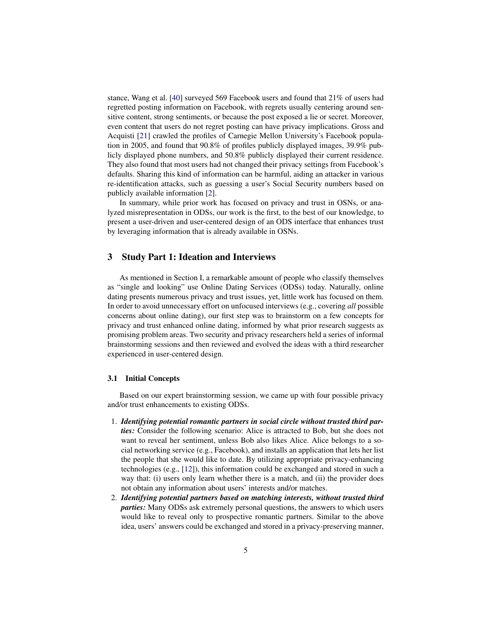stance, Wang et al. [\[40\]](#page-14-14) surveyed 569 Facebook users and found that 21% of users had regretted posting information on Facebook, with regrets usually centering around sensitive content, strong sentiments, or because the post exposed a lie or secret. Moreover, even content that users do not regret posting can have privacy implications. Gross and Acquisti [\[21\]](#page-14-15) crawled the profiles of Carnegie Mellon University's Facebook population in 2005, and found that 90.8% of profiles publicly displayed images, 39.9% publicly displayed phone numbers, and 50.8% publicly displayed their current residence. They also found that most users had not changed their privacy settings from Facebook's defaults. Sharing this kind of information can be harmful, aiding an attacker in various re-identification attacks, such as guessing a user's Social Security numbers based on publicly available information [\[2\]](#page-13-1).

In summary, while prior work has focused on privacy and trust in OSNs, or analyzed misrepresentation in ODSs, our work is the first, to the best of our knowledge, to present a user-driven and user-centered design of an ODS interface that enhances trust by leveraging information that is already available in OSNs.

# <span id="page-4-0"></span>3 Study Part 1: Ideation and Interviews

As mentioned in Section I, a remarkable amount of people who classify themselves as "single and looking" use Online Dating Services (ODSs) today. Naturally, online dating presents numerous privacy and trust issues, yet, little work has focused on them. In order to avoid unnecessary effort on unfocused interviews (e.g., covering *all* possible concerns about online dating), our first step was to brainstorm on a few concepts for privacy and trust enhanced online dating, informed by what prior research suggests as promising problem areas. Two security and privacy researchers held a series of informal brainstorming sessions and then reviewed and evolved the ideas with a third researcher experienced in user-centered design.

#### 3.1 Initial Concepts

Based on our expert brainstorming session, we came up with four possible privacy and/or trust enhancements to existing ODSs.

- 1. *Identifying potential romantic partners in social circle without trusted third parties:* Consider the following scenario: Alice is attracted to Bob, but she does not want to reveal her sentiment, unless Bob also likes Alice. Alice belongs to a social networking service (e.g., Facebook), and installs an application that lets her list the people that she would like to date. By utilizing appropriate privacy-enhancing technologies (e.g., [\[12\]](#page-13-15)), this information could be exchanged and stored in such a way that: (i) users only learn whether there is a match, and (ii) the provider does not obtain any information about users' interests and/or matches.
- 2. *Identifying potential partners based on matching interests, without trusted third parties:* Many ODSs ask extremely personal questions, the answers to which users would like to reveal only to prospective romantic partners. Similar to the above idea, users' answers could be exchanged and stored in a privacy-preserving manner,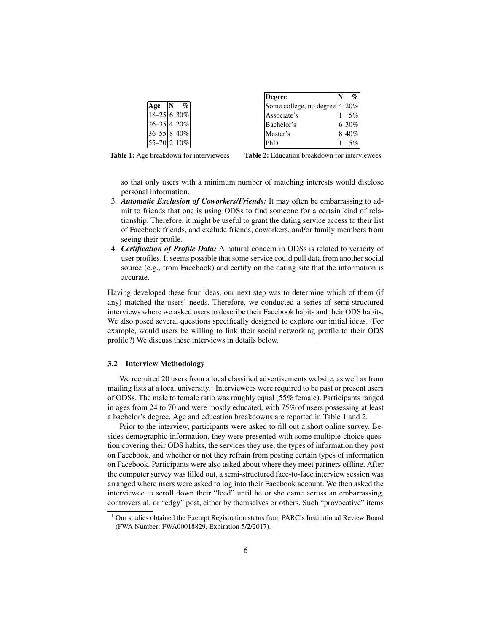<span id="page-5-1"></span>

|                                                  |      | Degree                          | $\%$  |
|--------------------------------------------------|------|---------------------------------|-------|
| Age                                              | $\%$ | Some college, no degree 4   20% |       |
| $ 18 - 25 $ 6 30%                                |      | Associate's                     | 5%    |
| $\left  26 - 35 \right $ 4 $\left  20\% \right $ |      | Bachelor's                      | 6 30% |
| $ 36 - 55 $ 8 $ 40\% $                           |      | Master's                        | 8 40% |
| $ 55 - 70 $ 2 $ 10\% $                           |      | PhD                             | 5%    |

Table 1: Age breakdown for interviewees

Table 2: Education breakdown for interviewees

so that only users with a minimum number of matching interests would disclose personal information.

- 3. *Automatic Exclusion of Coworkers/Friends:* It may often be embarrassing to admit to friends that one is using ODSs to find someone for a certain kind of relationship. Therefore, it might be useful to grant the dating service access to their list of Facebook friends, and exclude friends, coworkers, and/or family members from seeing their profile.
- 4. *Certification of Profile Data:* A natural concern in ODSs is related to veracity of user profiles. It seems possible that some service could pull data from another social source (e.g., from Facebook) and certify on the dating site that the information is accurate.

Having developed these four ideas, our next step was to determine which of them (if any) matched the users' needs. Therefore, we conducted a series of semi-structured interviews where we asked users to describe their Facebook habits and their ODS habits. We also posed several questions specifically designed to explore our initial ideas. (For example, would users be willing to link their social networking profile to their ODS profile?) We discuss these interviews in details below.

#### 3.2 Interview Methodology

We recruited 20 users from a local classified advertisements website, as well as from mailing lists at a local university.<sup>[1](#page-5-0)</sup> Interviewees were required to be past or present users of ODSs. The male to female ratio was roughly equal (55% female). Participants ranged in ages from 24 to 70 and were mostly educated, with 75% of users possessing at least a bachelor's degree. Age and education breakdowns are reported in Table [1](#page-5-1) and [2.](#page-5-1)

Prior to the interview, participants were asked to fill out a short online survey. Besides demographic information, they were presented with some multiple-choice question covering their ODS habits, the services they use, the types of information they post on Facebook, and whether or not they refrain from posting certain types of information on Facebook. Participants were also asked about where they meet partners offline. After the computer survey was filled out, a semi-structured face-to-face interview session was arranged where users were asked to log into their Facebook account. We then asked the interviewee to scroll down their "feed" until he or she came across an embarrassing, controversial, or "edgy" post, either by themselves or others. Such "provocative" items

<span id="page-5-0"></span><sup>&</sup>lt;sup>1</sup> Our studies obtained the Exempt Registration status from PARC's Institutional Review Board (FWA Number: FWA00018829, Expiration 5/2/2017).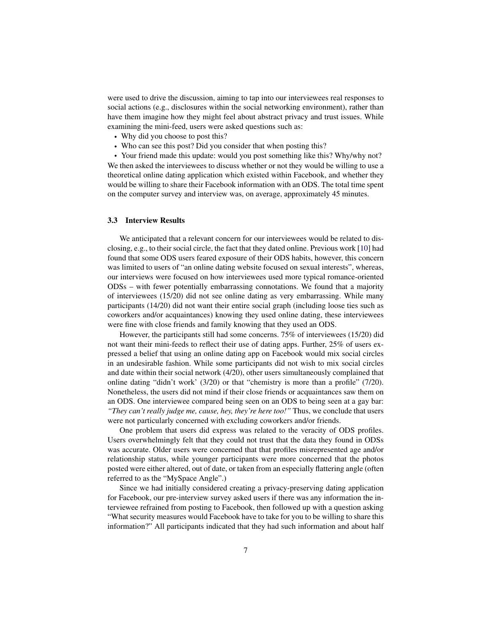were used to drive the discussion, aiming to tap into our interviewees real responses to social actions (e.g., disclosures within the social networking environment), rather than have them imagine how they might feel about abstract privacy and trust issues. While examining the mini-feed, users were asked questions such as:

- Why did you choose to post this?
- Who can see this post? Did you consider that when posting this?

• Your friend made this update: would you post something like this? Why/why not? We then asked the interviewees to discuss whether or not they would be willing to use a theoretical online dating application which existed within Facebook, and whether they would be willing to share their Facebook information with an ODS. The total time spent on the computer survey and interview was, on average, approximately 45 minutes.

#### 3.3 Interview Results

We anticipated that a relevant concern for our interviewees would be related to disclosing, e.g., to their social circle, the fact that they dated online. Previous work [\[10\]](#page-13-12) had found that some ODS users feared exposure of their ODS habits, however, this concern was limited to users of "an online dating website focused on sexual interests", whereas, our interviews were focused on how interviewees used more typical romance-oriented ODSs – with fewer potentially embarrassing connotations. We found that a majority of interviewees (15/20) did not see online dating as very embarrassing. While many participants (14/20) did not want their entire social graph (including loose ties such as coworkers and/or acquaintances) knowing they used online dating, these interviewees were fine with close friends and family knowing that they used an ODS.

However, the participants still had some concerns. 75% of interviewees (15/20) did not want their mini-feeds to reflect their use of dating apps. Further, 25% of users expressed a belief that using an online dating app on Facebook would mix social circles in an undesirable fashion. While some participants did not wish to mix social circles and date within their social network (4/20), other users simultaneously complained that online dating "didn't work' (3/20) or that "chemistry is more than a profile" (7/20). Nonetheless, the users did not mind if their close friends or acquaintances saw them on an ODS. One interviewee compared being seen on an ODS to being seen at a gay bar: *"They can't really judge me, cause, hey, they're here too!"* Thus, we conclude that users were not particularly concerned with excluding coworkers and/or friends.

One problem that users did express was related to the veracity of ODS profiles. Users overwhelmingly felt that they could not trust that the data they found in ODSs was accurate. Older users were concerned that that profiles misrepresented age and/or relationship status, while younger participants were more concerned that the photos posted were either altered, out of date, or taken from an especially flattering angle (often referred to as the "MySpace Angle".)

Since we had initially considered creating a privacy-preserving dating application for Facebook, our pre-interview survey asked users if there was any information the interviewee refrained from posting to Facebook, then followed up with a question asking "What security measures would Facebook have to take for you to be willing to share this information?" All participants indicated that they had such information and about half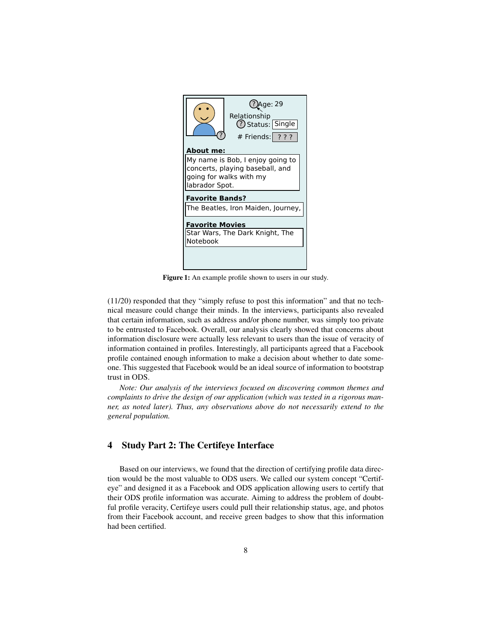<span id="page-7-0"></span>

Figure 1: An example profile shown to users in our study.

(11/20) responded that they "simply refuse to post this information" and that no technical measure could change their minds. In the interviews, participants also revealed that certain information, such as address and/or phone number, was simply too private to be entrusted to Facebook. Overall, our analysis clearly showed that concerns about information disclosure were actually less relevant to users than the issue of veracity of information contained in profiles. Interestingly, all participants agreed that a Facebook profile contained enough information to make a decision about whether to date someone. This suggested that Facebook would be an ideal source of information to bootstrap trust in ODS.

*Note: Our analysis of the interviews focused on discovering common themes and complaints to drive the design of our application (which was tested in a rigorous manner, as noted later). Thus, any observations above do not necessarily extend to the general population.*

# 4 Study Part 2: The Certifeye Interface

Based on our interviews, we found that the direction of certifying profile data direction would be the most valuable to ODS users. We called our system concept "Certifeye" and designed it as a Facebook and ODS application allowing users to certify that their ODS profile information was accurate. Aiming to address the problem of doubtful profile veracity, Certifeye users could pull their relationship status, age, and photos from their Facebook account, and receive green badges to show that this information had been certified.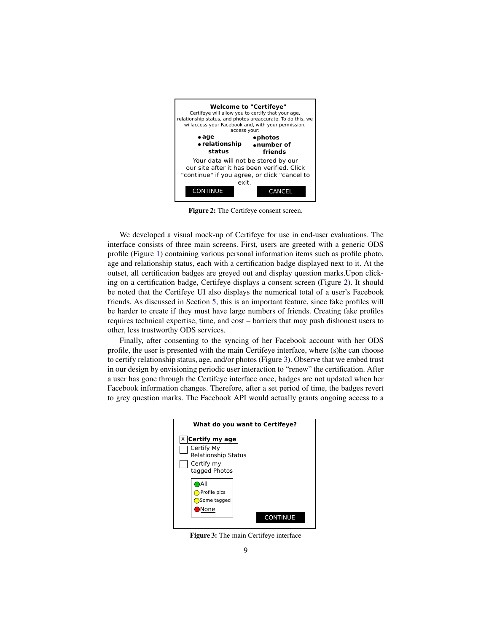<span id="page-8-0"></span>

Figure 2: The Certifeye consent screen.

We developed a visual mock-up of Certifeye for use in end-user evaluations. The interface consists of three main screens. First, users are greeted with a generic ODS profile (Figure [1\)](#page-7-0) containing various personal information items such as profile photo, age and relationship status, each with a certification badge displayed next to it. At the outset, all certification badges are greyed out and display question marks.Upon clicking on a certification badge, Certifeye displays a consent screen (Figure [2\)](#page-8-0). It should be noted that the Certifeye UI also displays the numerical total of a user's Facebook friends. As discussed in Section [5,](#page-11-0) this is an important feature, since fake profiles will be harder to create if they must have large numbers of friends. Creating fake profiles requires technical expertise, time, and cost – barriers that may push dishonest users to other, less trustworthy ODS services.

Finally, after consenting to the syncing of her Facebook account with her ODS profile, the user is presented with the main Certifeye interface, where (s)he can choose to certify relationship status, age, and/or photos (Figure [3\)](#page-8-1). Observe that we embed trust in our design by envisioning periodic user interaction to "renew" the certification. After a user has gone through the Certifeye interface once, badges are not updated when her Facebook information changes. Therefore, after a set period of time, the badges revert to grey question marks. The Facebook API would actually grants ongoing access to a

<span id="page-8-1"></span>

Figure 3: The main Certifeye interface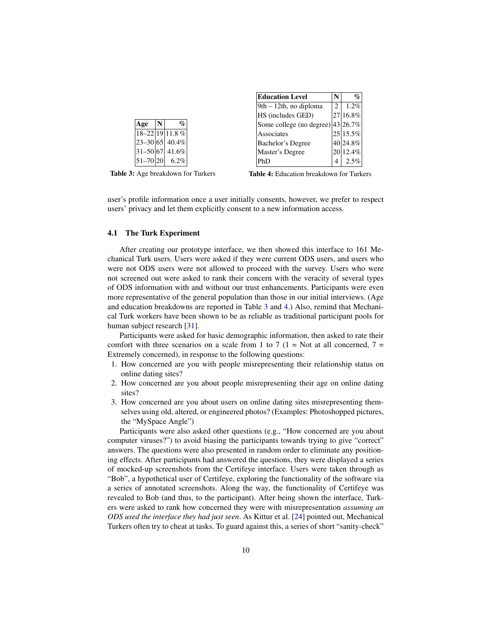<span id="page-9-0"></span>

|                                  | Luulativii Levei                  | $\mathbf{H}$ |
|----------------------------------|-----------------------------------|--------------|
|                                  | 9th – 12th, no diploma            |              |
|                                  | HS (includes GED)                 | 27 16.8%     |
| %<br>N                           | Some college (no degree) 43 26.7% |              |
| $ 18 - 22 19 11.8\% $            | Associates                        | 25 15.5%     |
| $ 23 - 30 65 $ 40.4%             | Bachelor's Degree                 | 40 24.8%     |
| $ 31 - 50 67 $ 41.6%             | Master's Degree                   | 20 12.4%     |
| $ 51 - 70 20 $<br>$6.2\%$<br>PhD |                                   |              |
|                                  |                                   |              |

Education Level

Table 3: Age breakdown for Turkers

Table 4: Education breakdown for Turkers

user's profile information once a user initially consents, however, we prefer to respect users' privacy and let them explicitly consent to a new information access.

#### 4.1 The Turk Experiment

After creating our prototype interface, we then showed this interface to 161 Mechanical Turk users. Users were asked if they were current ODS users, and users who were not ODS users were not allowed to proceed with the survey. Users who were not screened out were asked to rank their concern with the veracity of several types of ODS information with and without our trust enhancements. Participants were even more representative of the general population than those in our initial interviews. (Age and education breakdowns are reported in Table [3](#page-9-0) and [4.](#page-9-0)) Also, remind that Mechanical Turk workers have been shown to be as reliable as traditional participant pools for human subject research [\[31\]](#page-14-16).

Participants were asked for basic demographic information, then asked to rate their comfort with three scenarios on a scale from 1 to 7 (1 = Not at all concerned, 7 = Extremely concerned), in response to the following questions:

- 1. How concerned are you with people misrepresenting their relationship status on online dating sites?
- 2. How concerned are you about people misrepresenting their age on online dating sites?
- 3. How concerned are you about users on online dating sites misrepresenting themselves using old, altered, or engineered photos? (Examples: Photoshopped pictures, the "MySpace Angle")

Participants were also asked other questions (e.g., "How concerned are you about computer viruses?") to avoid biasing the participants towards trying to give "correct" answers. The questions were also presented in random order to eliminate any positioning effects. After participants had answered the questions, they were displayed a series of mocked-up screenshots from the Certifeye interface. Users were taken through as "Bob", a hypothetical user of Certifeye, exploring the functionality of the software via a series of annotated screenshots. Along the way, the functionality of Certifeye was revealed to Bob (and thus, to the participant). After being shown the interface, Turkers were asked to rank how concerned they were with misrepresentation *assuming an ODS used the interface they had just seen*. As Kittur et al. [\[24\]](#page-14-17) pointed out, Mechanical Turkers often try to cheat at tasks. To guard against this, a series of short "sanity-check"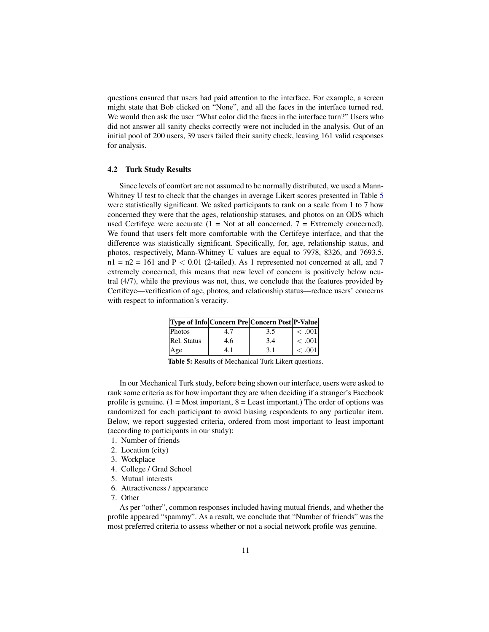questions ensured that users had paid attention to the interface. For example, a screen might state that Bob clicked on "None", and all the faces in the interface turned red. We would then ask the user "What color did the faces in the interface turn?" Users who did not answer all sanity checks correctly were not included in the analysis. Out of an initial pool of 200 users, 39 users failed their sanity check, leaving 161 valid responses for analysis.

#### <span id="page-10-1"></span>4.2 Turk Study Results

Since levels of comfort are not assumed to be normally distributed, we used a Mann-Whitney U test to check that the changes in average Likert scores presented in Table [5](#page-10-0) were statistically significant. We asked participants to rank on a scale from 1 to 7 how concerned they were that the ages, relationship statuses, and photos on an ODS which used Certifeye were accurate  $(1 = Not at all concerned, 7 = Extremely concerned)$ . We found that users felt more comfortable with the Certifeye interface, and that the difference was statistically significant. Specifically, for, age, relationship status, and photos, respectively, Mann-Whitney U values are equal to 7978, 8326, and 7693.5.  $n1 = n2 = 161$  and  $P < 0.01$  (2-tailed). As 1 represented not concerned at all, and 7 extremely concerned, this means that new level of concern is positively below neutral (4/7), while the previous was not, thus, we conclude that the features provided by Certifeye—verification of age, photos, and relationship status—reduce users' concerns with respect to information's veracity.

|               |          | Type of Info Concern Pre Concern Post P-Value |         |
|---------------|----------|-----------------------------------------------|---------|
| <b>Photos</b> | $4^{'}/$ | 3.5                                           | < .0011 |
| Rel. Status   | 4.6      | 3.4                                           | < .001  |
| Age           | 4. 1     | 3.1                                           | < .001  |

Table 5: Results of Mechanical Turk Likert questions.

<span id="page-10-0"></span>In our Mechanical Turk study, before being shown our interface, users were asked to rank some criteria as for how important they are when deciding if a stranger's Facebook profile is genuine.  $(1 = \text{Most important}, 8 = \text{Least important})$  The order of options was randomized for each participant to avoid biasing respondents to any particular item. Below, we report suggested criteria, ordered from most important to least important (according to participants in our study):

- 1. Number of friends
- 2. Location (city)
- 3. Workplace
- 4. College / Grad School
- 5. Mutual interests
- 6. Attractiveness / appearance
- 7. Other

As per "other", common responses included having mutual friends, and whether the profile appeared "spammy". As a result, we conclude that "Number of friends" was the most preferred criteria to assess whether or not a social network profile was genuine.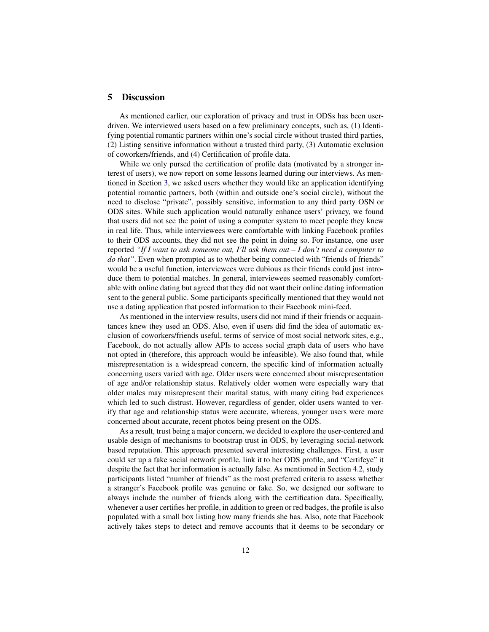# <span id="page-11-0"></span>5 Discussion

As mentioned earlier, our exploration of privacy and trust in ODSs has been userdriven. We interviewed users based on a few preliminary concepts, such as, (1) Identifying potential romantic partners within one's social circle without trusted third parties, (2) Listing sensitive information without a trusted third party, (3) Automatic exclusion of coworkers/friends, and (4) Certification of profile data.

While we only pursed the certification of profile data (motivated by a stronger interest of users), we now report on some lessons learned during our interviews. As mentioned in Section [3,](#page-4-0) we asked users whether they would like an application identifying potential romantic partners, both (within and outside one's social circle), without the need to disclose "private", possibly sensitive, information to any third party OSN or ODS sites. While such application would naturally enhance users' privacy, we found that users did not see the point of using a computer system to meet people they knew in real life. Thus, while interviewees were comfortable with linking Facebook profiles to their ODS accounts, they did not see the point in doing so. For instance, one user reported *"If I want to ask someone out, I'll ask them out – I don't need a computer to do that"*. Even when prompted as to whether being connected with "friends of friends" would be a useful function, interviewees were dubious as their friends could just introduce them to potential matches. In general, interviewees seemed reasonably comfortable with online dating but agreed that they did not want their online dating information sent to the general public. Some participants specifically mentioned that they would not use a dating application that posted information to their Facebook mini-feed.

As mentioned in the interview results, users did not mind if their friends or acquaintances knew they used an ODS. Also, even if users did find the idea of automatic exclusion of coworkers/friends useful, terms of service of most social network sites, e.g., Facebook, do not actually allow APIs to access social graph data of users who have not opted in (therefore, this approach would be infeasible). We also found that, while misrepresentation is a widespread concern, the specific kind of information actually concerning users varied with age. Older users were concerned about misrepresentation of age and/or relationship status. Relatively older women were especially wary that older males may misrepresent their marital status, with many citing bad experiences which led to such distrust. However, regardless of gender, older users wanted to verify that age and relationship status were accurate, whereas, younger users were more concerned about accurate, recent photos being present on the ODS.

As a result, trust being a major concern, we decided to explore the user-centered and usable design of mechanisms to bootstrap trust in ODS, by leveraging social-network based reputation. This approach presented several interesting challenges. First, a user could set up a fake social network profile, link it to her ODS profile, and "Certifeye" it despite the fact that her information is actually false. As mentioned in Section [4.2,](#page-10-1) study participants listed "number of friends" as the most preferred criteria to assess whether a stranger's Facebook profile was genuine or fake. So, we designed our software to always include the number of friends along with the certification data. Specifically, whenever a user certifies her profile, in addition to green or red badges, the profile is also populated with a small box listing how many friends she has. Also, note that Facebook actively takes steps to detect and remove accounts that it deems to be secondary or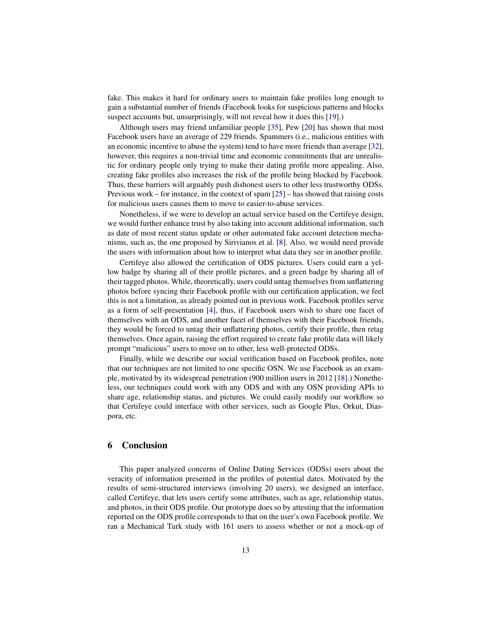fake. This makes it hard for ordinary users to maintain fake profiles long enough to gain a substantial number of friends (Facebook looks for suspicious patterns and blocks suspect accounts but, unsurprisingly, will not reveal how it does this [\[19\]](#page-14-18).)

Although users may friend unfamiliar people [\[35\]](#page-14-19), Pew [\[20\]](#page-14-20) has shown that most Facebook users have an average of 229 friends. Spammers (i.e., malicious entities with an economic incentive to abuse the system) tend to have more friends than average [\[32\]](#page-14-21), however, this requires a non-trivial time and economic commitments that are unrealistic for ordinary people only trying to make their dating profile more appealing. Also, creating fake profiles also increases the risk of the profile being blocked by Facebook. Thus, these barriers will arguably push dishonest users to other less trustworthy ODSs. Previous work – for instance, in the context of spam [\[25\]](#page-14-22) – has showed that raising costs for malicious users causes them to move to easier-to-abuse services.

Nonetheless, if we were to develop an actual service based on the Certifeye design, we would further enhance trust by also taking into account additional information, such as date of most recent status update or other automated fake account detection mechanisms, such as, the one proposed by Sirivianos et al. [\[8\]](#page-13-16). Also, we would need provide the users with information about how to interpret what data they see in another profile.

Certifeye also allowed the certification of ODS pictures. Users could earn a yellow badge by sharing all of their profile pictures, and a green badge by sharing all of their tagged photos. While, theoretically, users could untag themselves from unflattering photos before syncing their Facebook profile with our certification application, we feel this is not a limitation, as already pointed out in previous work. Facebook profiles serve as a form of self-presentation [\[4\]](#page-13-7), thus, if Facebook users wish to share one facet of themselves with an ODS, and another facet of themselves with their Facebook friends, they would be forced to untag their unflattering photos, certify their profile, then retag themselves. Once again, raising the effort required to create fake profile data will likely prompt "malicious" users to move on to other, less well-protected ODSs.

Finally, while we describe our social verification based on Facebook profiles, note that our techniques are not limited to one specific OSN. We use Facebook as an example, motivated by its widespread penetration (900 million users in 2012 [\[18\]](#page-13-17).) Nonetheless, our techniques could work with any ODS and with any OSN providing APIs to share age, relationship status, and pictures. We could easily modify our workflow so that Certifeye could interface with other services, such as Google Plus, Orkut, Diaspora, etc.

# 6 Conclusion

This paper analyzed concerns of Online Dating Services (ODSs) users about the veracity of information presented in the profiles of potential dates. Motivated by the results of semi-structured interviews (involving 20 users), we designed an interface, called Certifeye, that lets users certify some attributes, such as age, relationship status, and photos, in their ODS profile. Our prototype does so by attesting that the information reported on the ODS profile corresponds to that on the user's own Facebook profile. We ran a Mechanical Turk study with 161 users to assess whether or not a mock-up of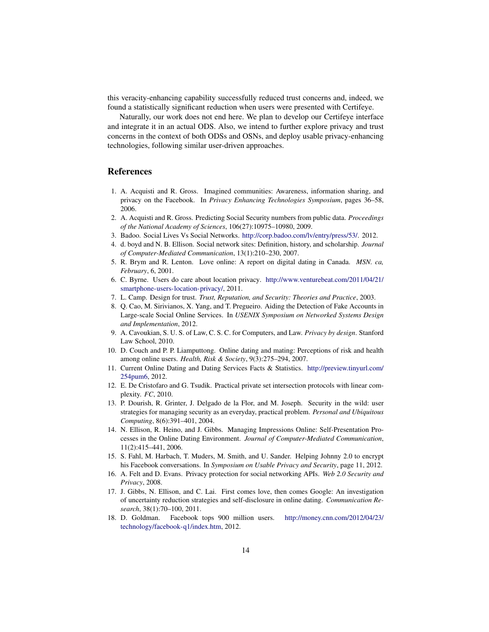this veracity-enhancing capability successfully reduced trust concerns and, indeed, we found a statistically significant reduction when users were presented with Certifeye.

Naturally, our work does not end here. We plan to develop our Certifeye interface and integrate it in an actual ODS. Also, we intend to further explore privacy and trust concerns in the context of both ODSs and OSNs, and deploy usable privacy-enhancing technologies, following similar user-driven approaches.

### References

- <span id="page-13-6"></span>1. A. Acquisti and R. Gross. Imagined communities: Awareness, information sharing, and privacy on the Facebook. In *Privacy Enhancing Technologies Symposium*, pages 36–58, 2006.
- <span id="page-13-1"></span>2. A. Acquisti and R. Gross. Predicting Social Security numbers from public data. *Proceedings of the National Academy of Sciences*, 106(27):10975–10980, 2009.
- <span id="page-13-0"></span>3. Badoo. Social Lives Vs Social Networks. [http://corp.badoo.com/lv/entry/press/53/.](http://corp.badoo.com/lv/entry/press/53/) 2012.
- <span id="page-13-7"></span>4. d. boyd and N. B. Ellison. Social network sites: Definition, history, and scholarship. *Journal of Computer-Mediated Communication*, 13(1):210–230, 2007.
- <span id="page-13-9"></span>5. R. Brym and R. Lenton. Love online: A report on digital dating in Canada. *MSN. ca, February*, 6, 2001.
- <span id="page-13-2"></span>6. C. Byrne. Users do care about location privacy. [http://www.venturebeat.com/2011/04/21/](http://www.venturebeat.com/2011/04/21/smartphone-users-location-privacy/) [smartphone-users-location-privacy/,](http://www.venturebeat.com/2011/04/21/smartphone-users-location-privacy/) 2011.
- <span id="page-13-13"></span>7. L. Camp. Design for trust. *Trust, Reputation, and Security: Theories and Practice*, 2003.
- <span id="page-13-16"></span>8. Q. Cao, M. Sirivianos, X. Yang, and T. Pregueiro. Aiding the Detection of Fake Accounts in Large-scale Social Online Services. In *USENIX Symposium on Networked Systems Design and Implementation*, 2012.
- <span id="page-13-14"></span>9. A. Cavoukian, S. U. S. of Law, C. S. C. for Computers, and Law. *Privacy by design*. Stanford Law School, 2010.
- <span id="page-13-12"></span>10. D. Couch and P. P. Liamputtong. Online dating and mating: Perceptions of risk and health among online users. *Health, Risk & Society*, 9(3):275–294, 2007.
- <span id="page-13-8"></span>11. Current Online Dating and Dating Services Facts & Statistics. [http://preview.tinyurl.com/](http://preview.tinyurl.com/254pum6) [254pum6,](http://preview.tinyurl.com/254pum6) 2012.
- <span id="page-13-15"></span>12. E. De Cristofaro and G. Tsudik. Practical private set intersection protocols with linear complexity. *FC*, 2010.
- <span id="page-13-5"></span>13. P. Dourish, R. Grinter, J. Delgado de la Flor, and M. Joseph. Security in the wild: user strategies for managing security as an everyday, practical problem. *Personal and Ubiquitous Computing*, 8(6):391–401, 2004.
- <span id="page-13-10"></span>14. N. Ellison, R. Heino, and J. Gibbs. Managing Impressions Online: Self-Presentation Processes in the Online Dating Environment. *Journal of Computer-Mediated Communication*, 11(2):415–441, 2006.
- <span id="page-13-3"></span>15. S. Fahl, M. Harbach, T. Muders, M. Smith, and U. Sander. Helping Johnny 2.0 to encrypt his Facebook conversations. In *Symposium on Usable Privacy and Security*, page 11, 2012.
- <span id="page-13-4"></span>16. A. Felt and D. Evans. Privacy protection for social networking APIs. *Web 2.0 Security and Privacy*, 2008.
- <span id="page-13-11"></span>17. J. Gibbs, N. Ellison, and C. Lai. First comes love, then comes Google: An investigation of uncertainty reduction strategies and self-disclosure in online dating. *Communication Research*, 38(1):70–100, 2011.
- <span id="page-13-17"></span>18. D. Goldman. Facebook tops 900 million users. [http://money.cnn.com/2012/04/23/](http://money.cnn.com/2012/04/23/technology/facebook-q1/index.htm) [technology/facebook-q1/index.htm,](http://money.cnn.com/2012/04/23/technology/facebook-q1/index.htm) 2012.